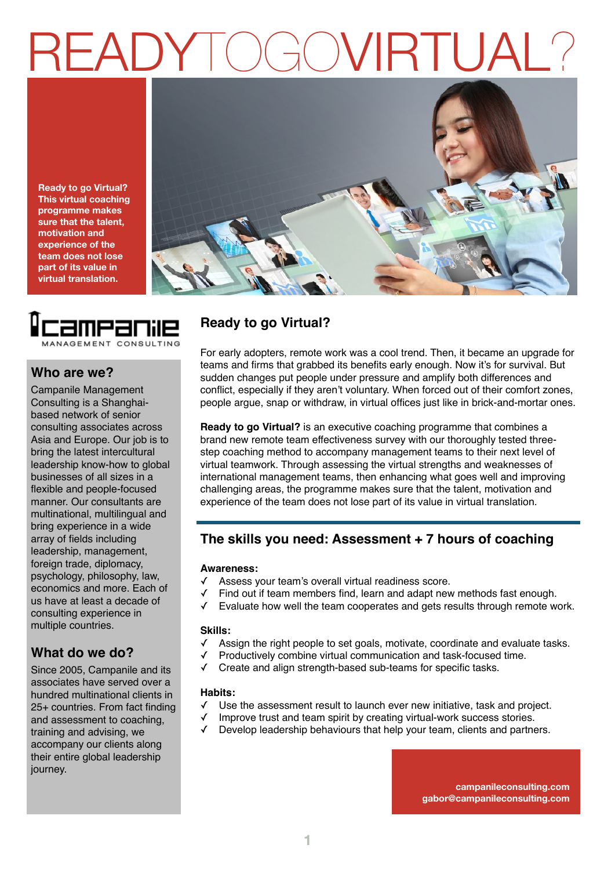## READYTOGOVIRTUAL?

**Ready to go Virtual? This virtual coaching programme makes sure that the talent, motivation and experience of the team does not lose part of its value in virtual translation.**





## **Who are we?**

Campanile Management Consulting is a Shanghaibased network of senior consulting associates across Asia and Europe. Our job is to bring the latest intercultural leadership know-how to global businesses of all sizes in a flexible and people-focused manner. Our consultants are multinational, multilingual and bring experience in a wide array of fields including leadership, management, foreign trade, diplomacy, psychology, philosophy, law, economics and more. Each of us have at least a decade of consulting experience in multiple countries.

## **What do we do?**

Since 2005, Campanile and its associates have served over a hundred multinational clients in 25+ countries. From fact finding and assessment to coaching, training and advising, we accompany our clients along their entire global leadership journey.

## **Ready to go Virtual?**

For early adopters, remote work was a cool trend. Then, it became an upgrade for teams and firms that grabbed its benefits early enough. Now it's for survival. But sudden changes put people under pressure and amplify both differences and conflict, especially if they aren't voluntary. When forced out of their comfort zones, people argue, snap or withdraw, in virtual offices just like in brick-and-mortar ones.

**Ready to go Virtual?** is an executive coaching programme that combines a brand new remote team effectiveness survey with our thoroughly tested threestep coaching method to accompany management teams to their next level of virtual teamwork. Through assessing the virtual strengths and weaknesses of international management teams, then enhancing what goes well and improving challenging areas, the programme makes sure that the talent, motivation and experience of the team does not lose part of its value in virtual translation.

## **The skills you need: Assessment + 7 hours of coaching**

#### **Awareness:**

- Assess your team's overall virtual readiness score.
- Find out if team members find, learn and adapt new methods fast enough.
- Evaluate how well the team cooperates and gets results through remote work.

#### **Skills:**

- ✓ Assign the right people to set goals, motivate, coordinate and evaluate tasks.
- Productively combine virtual communication and task-focused time.
- ✓ Create and align strength-based sub-teams for specific tasks.

#### **Habits:**

- ✓ Use the assessment result to launch ever new initiative, task and project.
- Improve trust and team spirit by creating virtual-work success stories.
- ✓ Develop leadership behaviours that help your team, clients and partners.

**campanileconsulting.com gabor@campanileconsulting.com**